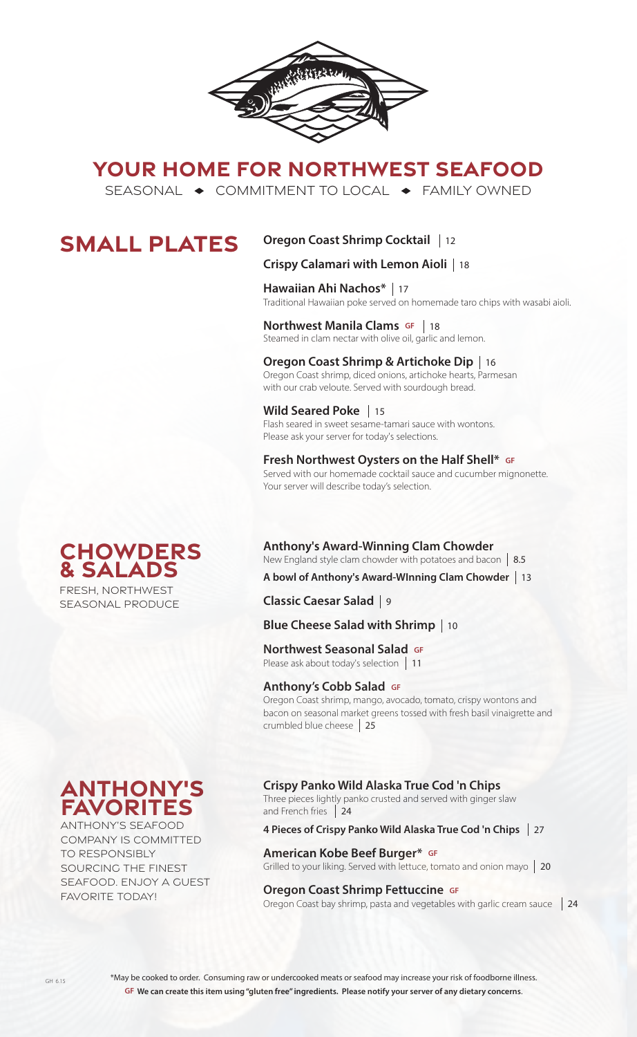

## **YOUR HOME FOR NORTHWEST SEAFOOD**

SEASONAL  $\rightarrow$  COMMITMENT TO LOCAL  $\rightarrow$  FAMILY OWNED

# **SMALL PLATES**

## **Oregon Coast Shrimp Cocktail**  12

## **Crispy Calamari with Lemon Aioli**  18

**Hawaiian Ahi Nachos\***  17 Traditional Hawaiian poke served on homemade taro chips with wasabi aioli.

### **Northwest Manila Clams GF** | 18 **NOT LITWEST MATTIME CRAITS SET 118**<br>Steamed in clam nectar with olive oil, garlic and lemon.

**Oregon Coast Shrimp & Artichoke Dip**  16 Oregon Coast shrimp, diced onions, artichoke hearts, Parmesan with our crab veloute. Served with sourdough bread.

### **Wild Seared Poke**  15 Flash seared in sweet sesame-tamari sauce with wontons. Please ask your server for today's selections.

**Fresh Northwest Oysters on the Half Shell\* GF** Served with our homemade cocktail sauce and cucumber mignonette. Your server will describe today's selection.

## **Anthony's Award-Winning Clam Chowder** New England style clam chowder with potatoes and bacon 8.5

**A bowl of Anthony's Award-WInning Clam Chowder**  13

## **Classic Caesar Salad**  9

## **Blue Cheese Salad with Shrimp**  10

**Northwest Seasonal Salad GF TOT CHWEST SEASOTIAL SAIAU GP<br>Please ask about today's selection 11** 

### **Anthony's Cobb Salad GF**

Oregon Coast shrimp, mango, avocado, tomato, crispy wontons and bacon on seasonal market greens tossed with fresh basil vinaigrette and crumbled blue cheese 25

## **Anthony's favorites**

ANTHONY'S SEAFOOD COMPANY IS COMMITTED TO RESPONSIBLY SOURCING THE FINEST SEAFOOD. ENJOY A GUEST FAVORITE TODAY!

### **Crispy Panko Wild Alaska True Cod 'n Chips**

Three pieces lightly panko crusted and served with ginger slaw and French fries 24

**4 Pieces of Crispy Panko Wild Alaska True Cod 'n Chips**  27

### **American Kobe Beef Burger\* GF** Grilled to your liking. Served with lettuce, tomato and onion mayo 20

**Oregon Coast Shrimp Fettuccine GF** Oregon Coast bay shrimp, pasta and vegetables with garlic cream sauce  $\parallel$  24



\*May be cooked to order. Consuming raw or undercooked meats or seafood may increase your risk of foodborne illness. **GF We can create this item using "gluten free" ingredients. Please notify your server of any dietary concerns**.